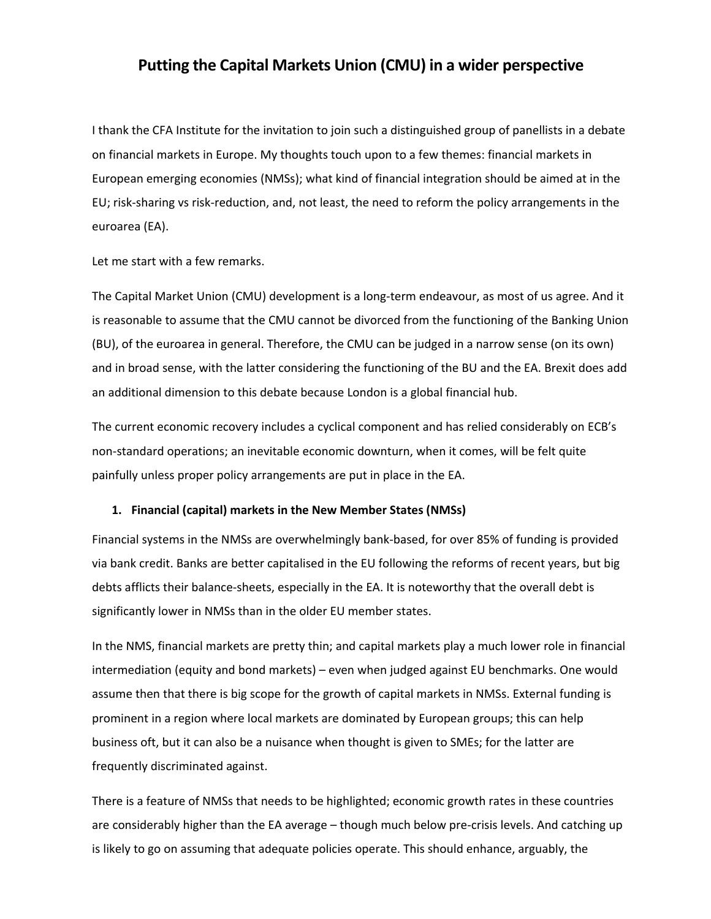# **Putting the Capital Markets Union (CMU) in a wider perspective**

I thank the CFA Institute for the invitation to join such a distinguished group of panellists in a debate on financial markets in Europe. My thoughts touch upon to a few themes: financial markets in European emerging economies (NMSs); what kind of financial integration should be aimed at in the EU; risk‐sharing vs risk‐reduction, and, not least, the need to reform the policy arrangements in the euroarea (EA).

Let me start with a few remarks.

The Capital Market Union (CMU) development is a long-term endeavour, as most of us agree. And it is reasonable to assume that the CMU cannot be divorced from the functioning of the Banking Union (BU), of the euroarea in general. Therefore, the CMU can be judged in a narrow sense (on its own) and in broad sense, with the latter considering the functioning of the BU and the EA. Brexit does add an additional dimension to this debate because London is a global financial hub.

The current economic recovery includes a cyclical component and has relied considerably on ECB's non‐standard operations; an inevitable economic downturn, when it comes, will be felt quite painfully unless proper policy arrangements are put in place in the EA.

### **1. Financial (capital) markets in the New Member States (NMSs)**

Financial systems in the NMSs are overwhelmingly bank‐based, for over 85% of funding is provided via bank credit. Banks are better capitalised in the EU following the reforms of recent years, but big debts afflicts their balance‐sheets, especially in the EA. It is noteworthy that the overall debt is significantly lower in NMSs than in the older EU member states.

In the NMS, financial markets are pretty thin; and capital markets play a much lower role in financial intermediation (equity and bond markets) – even when judged against EU benchmarks. One would assume then that there is big scope for the growth of capital markets in NMSs. External funding is prominent in a region where local markets are dominated by European groups; this can help business oft, but it can also be a nuisance when thought is given to SMEs; for the latter are frequently discriminated against.

There is a feature of NMSs that needs to be highlighted; economic growth rates in these countries are considerably higher than the EA average – though much below pre-crisis levels. And catching up is likely to go on assuming that adequate policies operate. This should enhance, arguably, the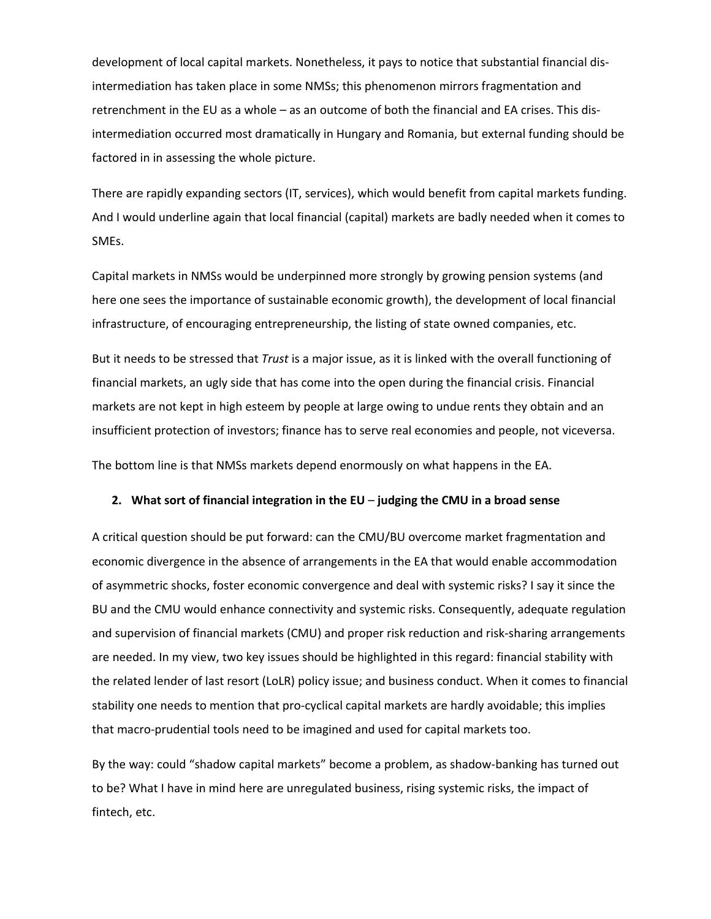development of local capital markets. Nonetheless, it pays to notice that substantial financial dis‐ intermediation has taken place in some NMSs; this phenomenon mirrors fragmentation and retrenchment in the EU as a whole – as an outcome of both the financial and EA crises. This dis‐ intermediation occurred most dramatically in Hungary and Romania, but external funding should be factored in in assessing the whole picture.

There are rapidly expanding sectors (IT, services), which would benefit from capital markets funding. And I would underline again that local financial (capital) markets are badly needed when it comes to SMEs.

Capital markets in NMSs would be underpinned more strongly by growing pension systems (and here one sees the importance of sustainable economic growth), the development of local financial infrastructure, of encouraging entrepreneurship, the listing of state owned companies, etc.

But it needs to be stressed that *Trust* is a major issue, as it is linked with the overall functioning of financial markets, an ugly side that has come into the open during the financial crisis. Financial markets are not kept in high esteem by people at large owing to undue rents they obtain and an insufficient protection of investors; finance has to serve real economies and people, not viceversa.

The bottom line is that NMSs markets depend enormously on what happens in the EA.

## **2. What sort of financial integration in the EU** – **judging the CMU in a broad sense**

A critical question should be put forward: can the CMU/BU overcome market fragmentation and economic divergence in the absence of arrangements in the EA that would enable accommodation of asymmetric shocks, foster economic convergence and deal with systemic risks? I say it since the BU and the CMU would enhance connectivity and systemic risks. Consequently, adequate regulation and supervision of financial markets (CMU) and proper risk reduction and risk‐sharing arrangements are needed. In my view, two key issues should be highlighted in this regard: financial stability with the related lender of last resort (LoLR) policy issue; and business conduct. When it comes to financial stability one needs to mention that pro‐cyclical capital markets are hardly avoidable; this implies that macro‐prudential tools need to be imagined and used for capital markets too.

By the way: could "shadow capital markets" become a problem, as shadow‐banking has turned out to be? What I have in mind here are unregulated business, rising systemic risks, the impact of fintech, etc.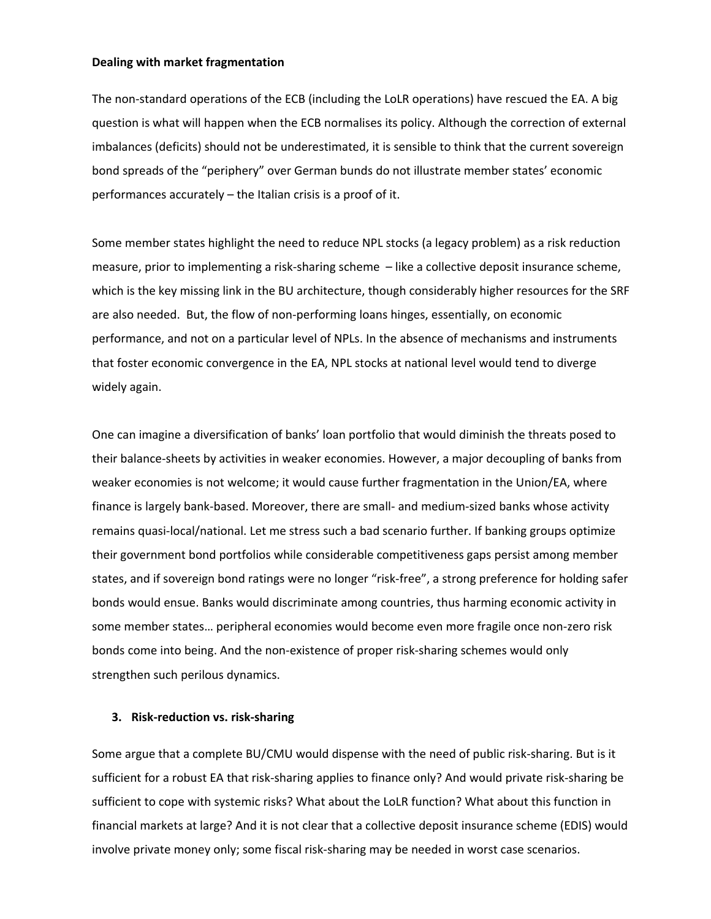#### **Dealing with market fragmentation**

The non‐standard operations of the ECB (including the LoLR operations) have rescued the EA. A big question is what will happen when the ECB normalises its policy. Although the correction of external imbalances (deficits) should not be underestimated, it is sensible to think that the current sovereign bond spreads of the "periphery" over German bunds do not illustrate member states' economic performances accurately – the Italian crisis is a proof of it.

Some member states highlight the need to reduce NPL stocks (a legacy problem) as a risk reduction measure, prior to implementing a risk‐sharing scheme – like a collective deposit insurance scheme, which is the key missing link in the BU architecture, though considerably higher resources for the SRF are also needed. But, the flow of non‐performing loans hinges, essentially, on economic performance, and not on a particular level of NPLs. In the absence of mechanisms and instruments that foster economic convergence in the EA, NPL stocks at national level would tend to diverge widely again.

One can imagine a diversification of banks' loan portfolio that would diminish the threats posed to their balance‐sheets by activities in weaker economies. However, a major decoupling of banks from weaker economies is not welcome; it would cause further fragmentation in the Union/EA, where finance is largely bank‐based. Moreover, there are small‐ and medium‐sized banks whose activity remains quasi‐local/national. Let me stress such a bad scenario further. If banking groups optimize their government bond portfolios while considerable competitiveness gaps persist among member states, and if sovereign bond ratings were no longer "risk‐free", a strong preference for holding safer bonds would ensue. Banks would discriminate among countries, thus harming economic activity in some member states… peripheral economies would become even more fragile once non‐zero risk bonds come into being. And the non‐existence of proper risk‐sharing schemes would only strengthen such perilous dynamics.

## **3. Risk‐reduction vs. risk‐sharing**

Some argue that a complete BU/CMU would dispense with the need of public risk‐sharing. But is it sufficient for a robust EA that risk‐sharing applies to finance only? And would private risk‐sharing be sufficient to cope with systemic risks? What about the LoLR function? What about this function in financial markets at large? And it is not clear that a collective deposit insurance scheme (EDIS) would involve private money only; some fiscal risk‐sharing may be needed in worst case scenarios.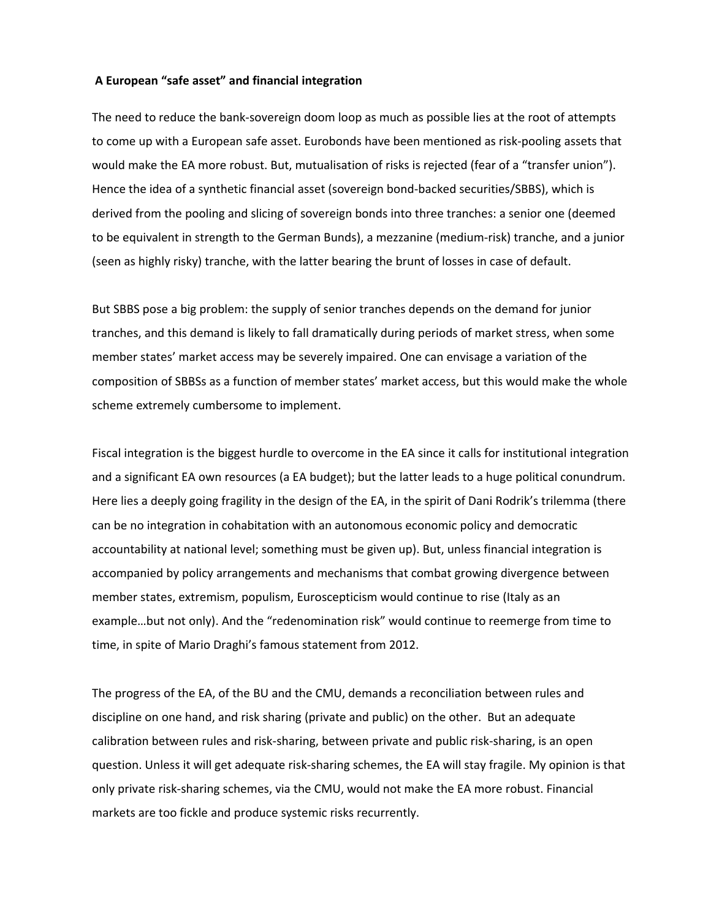## **A European "safe asset" and financial integration**

The need to reduce the bank‐sovereign doom loop as much as possible lies at the root of attempts to come up with a European safe asset. Eurobonds have been mentioned as risk‐pooling assets that would make the EA more robust. But, mutualisation of risks is rejected (fear of a "transfer union"). Hence the idea of a synthetic financial asset (sovereign bond‐backed securities/SBBS), which is derived from the pooling and slicing of sovereign bonds into three tranches: a senior one (deemed to be equivalent in strength to the German Bunds), a mezzanine (medium‐risk) tranche, and a junior (seen as highly risky) tranche, with the latter bearing the brunt of losses in case of default.

But SBBS pose a big problem: the supply of senior tranches depends on the demand for junior tranches, and this demand is likely to fall dramatically during periods of market stress, when some member states' market access may be severely impaired. One can envisage a variation of the composition of SBBSs as a function of member states' market access, but this would make the whole scheme extremely cumbersome to implement.

Fiscal integration is the biggest hurdle to overcome in the EA since it calls for institutional integration and a significant EA own resources (a EA budget); but the latter leads to a huge political conundrum. Here lies a deeply going fragility in the design of the EA, in the spirit of Dani Rodrik's trilemma (there can be no integration in cohabitation with an autonomous economic policy and democratic accountability at national level; something must be given up). But, unless financial integration is accompanied by policy arrangements and mechanisms that combat growing divergence between member states, extremism, populism, Euroscepticism would continue to rise (Italy as an example…but not only). And the "redenomination risk" would continue to reemerge from time to time, in spite of Mario Draghi's famous statement from 2012.

The progress of the EA, of the BU and the CMU, demands a reconciliation between rules and discipline on one hand, and risk sharing (private and public) on the other. But an adequate calibration between rules and risk‐sharing, between private and public risk‐sharing, is an open question. Unless it will get adequate risk‐sharing schemes, the EA will stay fragile. My opinion is that only private risk‐sharing schemes, via the CMU, would not make the EA more robust. Financial markets are too fickle and produce systemic risks recurrently.